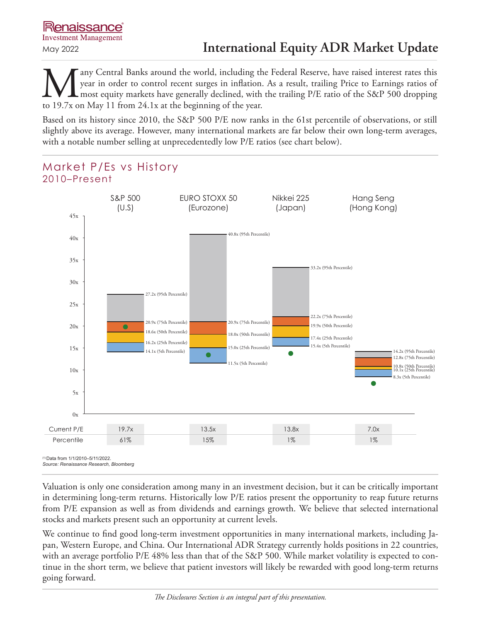any Central Banks around the world, including the Federal Reserve, have raised interest rates this year in order to control recent surges in inflation. As a result, trailing Price to Earnings ratios of most equity markets have generally declined, with the trailing P/E ratio of the S&P 500 dropping to 19.7x on May 11 from 24.1x at the beginning of the year.

Based on its history since 2010, the S&P 500 P/E now ranks in the 61st percentile of observations, or still slightly above its average. However, many international markets are far below their own long-term averages, with a notable number selling at unprecedentedly low P/E ratios (see chart below).



Valuation is only one consideration among many in an investment decision, but it can be critically important in determining long-term returns. Historically low P/E ratios present the opportunity to reap future returns from P/E expansion as well as from dividends and earnings growth. We believe that selected international stocks and markets present such an opportunity at current levels.

We continue to find good long-term investment opportunities in many international markets, including Japan, Western Europe, and China. Our International ADR Strategy currently holds positions in 22 countries, with an average portfolio P/E 48% less than that of the S&P 500. While market volatility is expected to continue in the short term, we believe that patient investors will likely be rewarded with good long-term returns going forward.